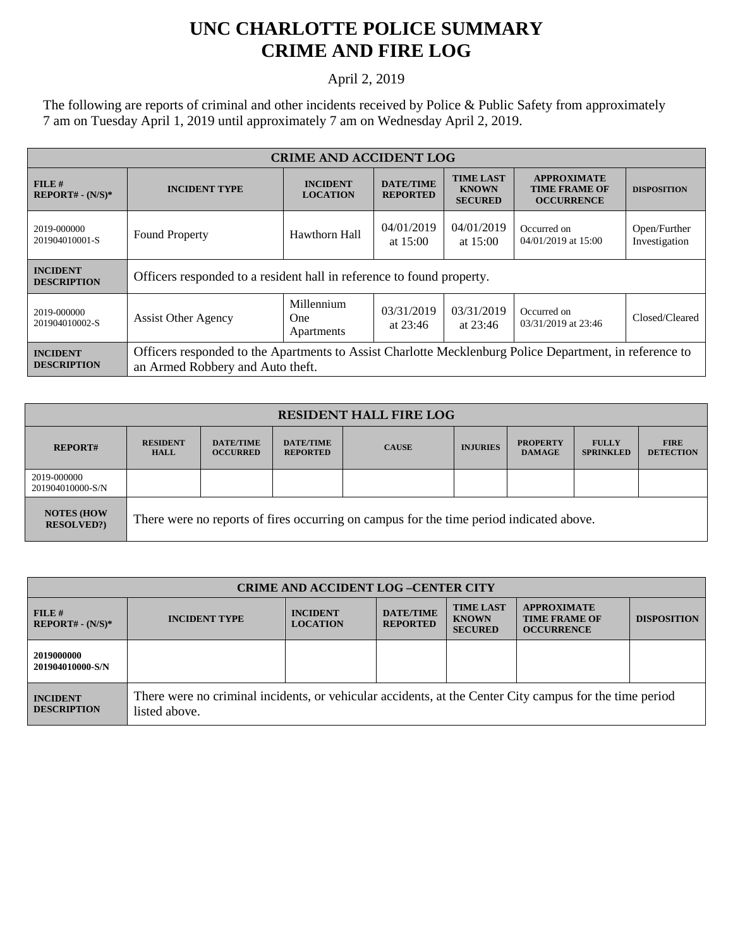## **UNC CHARLOTTE POLICE SUMMARY CRIME AND FIRE LOG**

## April 2, 2019

The following are reports of criminal and other incidents received by Police & Public Safety from approximately 7 am on Tuesday April 1, 2019 until approximately 7 am on Wednesday April 2, 2019.

| <b>CRIME AND ACCIDENT LOG</b>         |                                                                                                                                             |                                        |                                     |                                                    |                                                                 |                               |
|---------------------------------------|---------------------------------------------------------------------------------------------------------------------------------------------|----------------------------------------|-------------------------------------|----------------------------------------------------|-----------------------------------------------------------------|-------------------------------|
| FILE#<br>$REPORT# - (N/S)*$           | <b>INCIDENT TYPE</b>                                                                                                                        | <b>INCIDENT</b><br><b>LOCATION</b>     | <b>DATE/TIME</b><br><b>REPORTED</b> | <b>TIME LAST</b><br><b>KNOWN</b><br><b>SECURED</b> | <b>APPROXIMATE</b><br><b>TIME FRAME OF</b><br><b>OCCURRENCE</b> | <b>DISPOSITION</b>            |
| 2019-000000<br>201904010001-S         | <b>Found Property</b>                                                                                                                       | Hawthorn Hall                          | 04/01/2019<br>at $15:00$            | 04/01/2019<br>at $15:00$                           | Occurred on<br>04/01/2019 at 15:00                              | Open/Further<br>Investigation |
| <b>INCIDENT</b><br><b>DESCRIPTION</b> | Officers responded to a resident hall in reference to found property.                                                                       |                                        |                                     |                                                    |                                                                 |                               |
| 2019-000000<br>201904010002-S         | <b>Assist Other Agency</b>                                                                                                                  | Millennium<br><b>One</b><br>Apartments | 03/31/2019<br>at $23:46$            | 03/31/2019<br>at $23:46$                           | Occurred on<br>03/31/2019 at 23:46                              | Closed/Cleared                |
| <b>INCIDENT</b><br><b>DESCRIPTION</b> | Officers responded to the Apartments to Assist Charlotte Mecklenburg Police Department, in reference to<br>an Armed Robbery and Auto theft. |                                        |                                     |                                                    |                                                                 |                               |

| <b>RESIDENT HALL FIRE LOG</b>         |                                                                                         |                                     |                                     |              |                 |                                  |                                  |                                 |
|---------------------------------------|-----------------------------------------------------------------------------------------|-------------------------------------|-------------------------------------|--------------|-----------------|----------------------------------|----------------------------------|---------------------------------|
| <b>REPORT#</b>                        | <b>RESIDENT</b><br><b>HALL</b>                                                          | <b>DATE/TIME</b><br><b>OCCURRED</b> | <b>DATE/TIME</b><br><b>REPORTED</b> | <b>CAUSE</b> | <b>INJURIES</b> | <b>PROPERTY</b><br><b>DAMAGE</b> | <b>FULLY</b><br><b>SPRINKLED</b> | <b>FIRE</b><br><b>DETECTION</b> |
| 2019-000000<br>201904010000-S/N       |                                                                                         |                                     |                                     |              |                 |                                  |                                  |                                 |
| <b>NOTES (HOW</b><br><b>RESOLVED?</b> | There were no reports of fires occurring on campus for the time period indicated above. |                                     |                                     |              |                 |                                  |                                  |                                 |

| <b>CRIME AND ACCIDENT LOG-CENTER CITY</b> |                                                                                                                          |                                    |                                     |                                                    |                                                                 |                    |
|-------------------------------------------|--------------------------------------------------------------------------------------------------------------------------|------------------------------------|-------------------------------------|----------------------------------------------------|-----------------------------------------------------------------|--------------------|
| FILE#<br>$REPORT# - (N/S)*$               | <b>INCIDENT TYPE</b>                                                                                                     | <b>INCIDENT</b><br><b>LOCATION</b> | <b>DATE/TIME</b><br><b>REPORTED</b> | <b>TIME LAST</b><br><b>KNOWN</b><br><b>SECURED</b> | <b>APPROXIMATE</b><br><b>TIME FRAME OF</b><br><b>OCCURRENCE</b> | <b>DISPOSITION</b> |
| 2019000000<br>201904010000-S/N            |                                                                                                                          |                                    |                                     |                                                    |                                                                 |                    |
| <b>INCIDENT</b><br><b>DESCRIPTION</b>     | There were no criminal incidents, or vehicular accidents, at the Center City campus for the time period<br>listed above. |                                    |                                     |                                                    |                                                                 |                    |